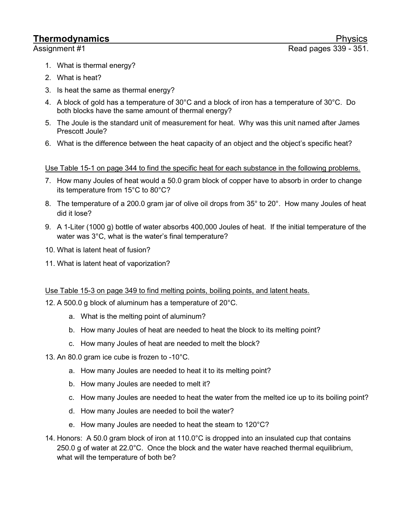- 1. What is thermal energy?
- 2. What is heat?
- 3. Is heat the same as thermal energy?
- 4. A block of gold has a temperature of 30°C and a block of iron has a temperature of 30°C. Do both blocks have the same amount of thermal energy?
- 5. The Joule is the standard unit of measurement for heat. Why was this unit named after James Prescott Joule?
- 6. What is the difference between the heat capacity of an object and the object's specific heat?

### Use Table 15-1 on page 344 to find the specific heat for each substance in the following problems.

- 7. How many Joules of heat would a 50.0 gram block of copper have to absorb in order to change its temperature from 15°C to 80°C?
- 8. The temperature of a 200.0 gram jar of olive oil drops from 35° to 20°. How many Joules of heat did it lose?
- 9. A 1-Liter (1000 g) bottle of water absorbs 400,000 Joules of heat. If the initial temperature of the water was 3°C, what is the water's final temperature?
- 10. What is latent heat of fusion?
- 11. What is latent heat of vaporization?

#### Use Table 15-3 on page 349 to find melting points, boiling points, and latent heats.

12. A 500.0 g block of aluminum has a temperature of 20°C.

- a. What is the melting point of aluminum?
- b. How many Joules of heat are needed to heat the block to its melting point?
- c. How many Joules of heat are needed to melt the block?
- 13. An 80.0 gram ice cube is frozen to -10°C.
	- a. How many Joules are needed to heat it to its melting point?
	- b. How many Joules are needed to melt it?
	- c. How many Joules are needed to heat the water from the melted ice up to its boiling point?
	- d. How many Joules are needed to boil the water?
	- e. How many Joules are needed to heat the steam to 120°C?
- 14. Honors: A 50.0 gram block of iron at 110.0°C is dropped into an insulated cup that contains 250.0 g of water at 22.0°C. Once the block and the water have reached thermal equilibrium, what will the temperature of both be?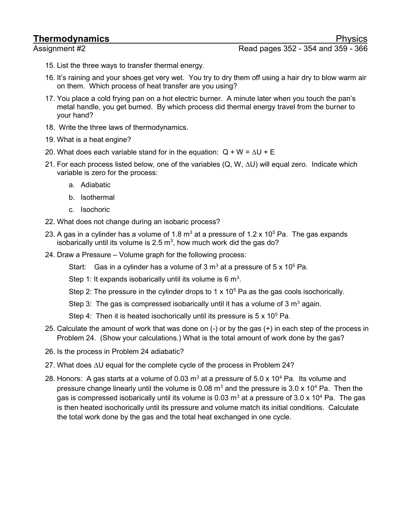## **Thermodynamics** Physics

- Assignment #2 **Assignment #2** Read pages 352 354 and 359 366
	- 15. List the three ways to transfer thermal energy.
	- 16. It's raining and your shoes get very wet. You try to dry them off using a hair dry to blow warm air on them. Which process of heat transfer are you using?
	- 17. You place a cold frying pan on a hot electric burner. A minute later when you touch the pan's metal handle, you get burned. By which process did thermal energy travel from the burner to your hand?
	- 18. Write the three laws of thermodynamics.
	- 19. What is a heat engine?
	- 20. What does each variable stand for in the equation:  $Q + W = \Delta U + E$
	- 21. For each process listed below, one of the variables (Q, W, ΔU) will equal zero. Indicate which variable is zero for the process:
		- a. Adiabatic
		- b. Isothermal
		- c. Isochoric
	- 22. What does not change during an isobaric process?
	- 23. A gas in a cylinder has a volume of 1.8  $\mathrm{m}^{3}$  at a pressure of 1.2 x 10<sup>5</sup> Pa. The gas expands isobarically until its volume is 2.5  $m^3$ , how much work did the gas do?
	- 24. Draw a Pressure Volume graph for the following process:
		- Start: Gas in a cylinder has a volume of 3 m<sup>3</sup> at a pressure of 5 x 10<sup>5</sup> Pa.
		- Step 1: It expands isobarically until its volume is 6  $m^3$ .
		- Step 2: The pressure in the cylinder drops to 1  $\times$  10<sup>5</sup> Pa as the gas cools isochorically.
		- Step 3: The gas is compressed isobarically until it has a volume of 3  $m^3$  again.
		- Step 4: Then it is heated isochorically until its pressure is  $5 \times 10^5$  Pa.
	- 25. Calculate the amount of work that was done on (-) or by the gas (+) in each step of the process in Problem 24. (Show your calculations.) What is the total amount of work done by the gas?
	- 26. Is the process in Problem 24 adiabatic?
	- 27. What does ΔU equal for the complete cycle of the process in Problem 24?
	- 28. Honors: A gas starts at a volume of 0.03 m<sup>3</sup> at a pressure of 5.0 x 10<sup>4</sup> Pa. Its volume and pressure change linearly until the volume is 0.08  $\text{m}^3$  and the pressure is 3.0 x 10<sup>4</sup> Pa. Then the gas is compressed isobarically until its volume is 0.03 m<sup>3</sup> at a pressure of 3.0 x 10<sup>4</sup> Pa. The gas is then heated isochorically until its pressure and volume match its initial conditions. Calculate the total work done by the gas and the total heat exchanged in one cycle.